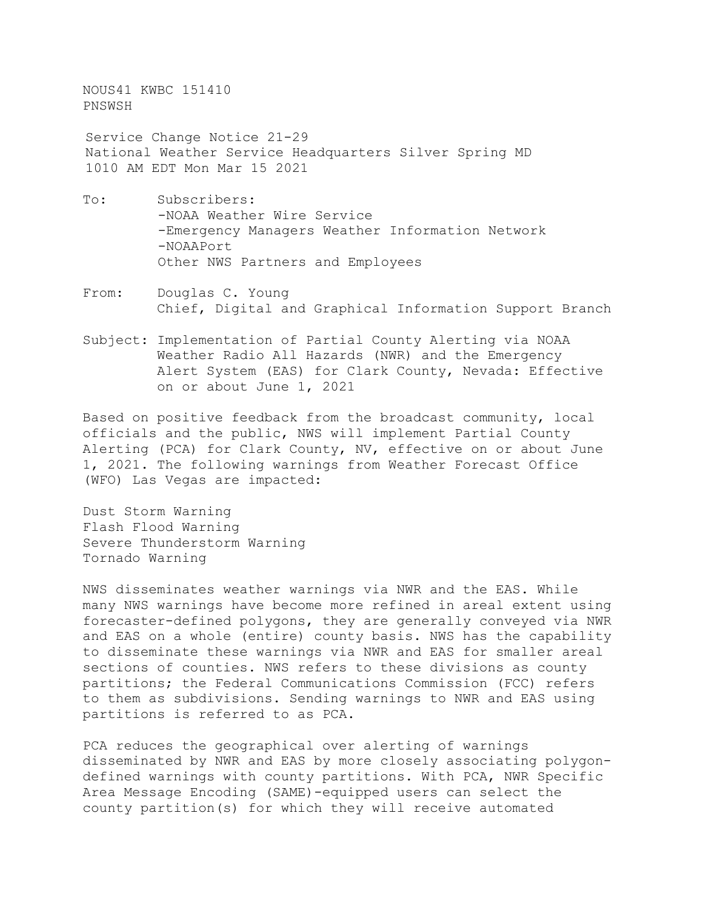NOUS41 KWBC 151410 PNSWSH

 Service Change Notice 21-29 National Weather Service Headquarters Silver Spring MD 1010 AM EDT Mon Mar 15 2021

- To: Subscribers: -NOAA Weather Wire Service -Emergency Managers Weather Information Network -NOAAPort Other NWS Partners and Employees
- From: Douglas C. Young Chief, Digital and Graphical Information Support Branch
- Subject: Implementation of Partial County Alerting via NOAA Weather Radio All Hazards (NWR) and the Emergency Alert System (EAS) for Clark County, Nevada: Effective on or about June 1, 2021

Based on positive feedback from the broadcast community, local officials and the public, NWS will implement Partial County Alerting (PCA) for Clark County, NV, effective on or about June 1, 2021. The following warnings from Weather Forecast Office (WFO) Las Vegas are impacted:

Dust Storm Warning Flash Flood Warning Severe Thunderstorm Warning Tornado Warning

NWS disseminates weather warnings via NWR and the EAS. While many NWS warnings have become more refined in areal extent using forecaster-defined polygons, they are generally conveyed via NWR and EAS on a whole (entire) county basis. NWS has the capability to disseminate these warnings via NWR and EAS for smaller areal sections of counties. NWS refers to these divisions as county partitions; the Federal Communications Commission (FCC) refers to them as subdivisions. Sending warnings to NWR and EAS using partitions is referred to as PCA.

PCA reduces the geographical over alerting of warnings disseminated by NWR and EAS by more closely associating polygondefined warnings with county partitions. With PCA, NWR Specific Area Message Encoding (SAME)-equipped users can select the county partition(s) for which they will receive automated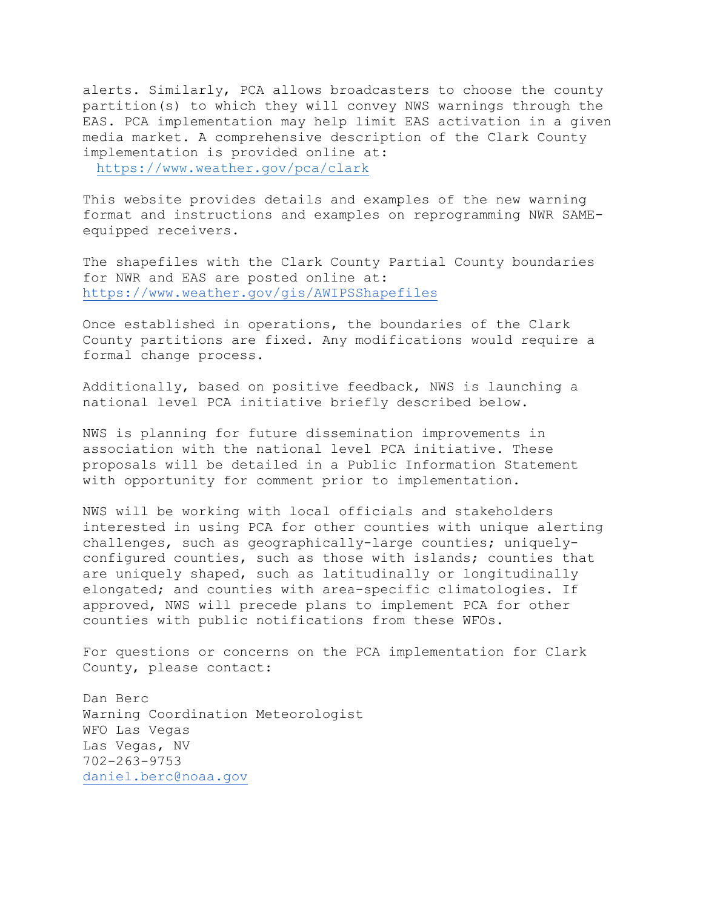alerts. Similarly, PCA allows broadcasters to choose the county partition(s) to which they will convey NWS warnings through the EAS. PCA implementation may help limit EAS activation in a given media market. A comprehensive description of the Clark County implementation is provided online at: [https://www.weather.gov/pca/clar](https://www.weather.gov/pca/clark)k

This website provides details and examples of the new warning format and instructions and examples on reprogramming NWR SAMEequipped receivers.

The shapefiles with the Clark County Partial County boundaries for NWR and EAS are posted online at: <https://www.weather.gov/gis/AWIPSShapefiles>

Once established in operations, the boundaries of the Clark County partitions are fixed. Any modifications would require a formal change process.

Additionally, based on positive feedback, NWS is launching a national level PCA initiative briefly described below.

NWS is planning for future dissemination improvements in association with the national level PCA initiative. These proposals will be detailed in a Public Information Statement with opportunity for comment prior to implementation.

NWS will be working with local officials and stakeholders interested in using PCA for other counties with unique alerting challenges, such as geographically-large counties; uniquelyconfigured counties, such as those with islands; counties that are uniquely shaped, such as latitudinally or longitudinally elongated; and counties with area-specific climatologies. If approved, NWS will precede plans to implement PCA for other counties with public notifications from these WFOs.

For questions or concerns on the PCA implementation for Clark County, please contact:

Dan Berc Warning Coordination Meteorologist WFO Las Vegas Las Vegas, NV 702-263-9753 [daniel.berc@noaa.gov](mailto:daniel.berc@noaa.gov)